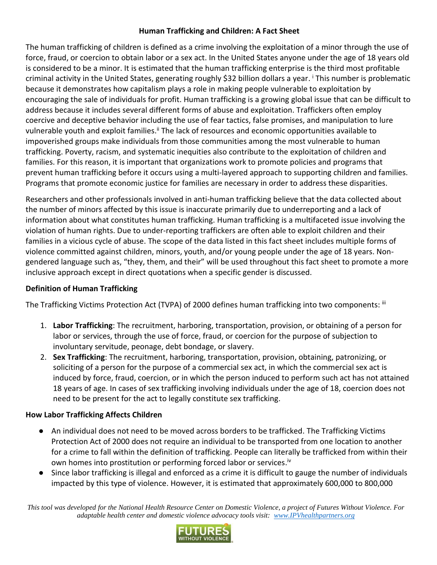#### **Human Trafficking and Children: A Fact Sheet**

The human trafficking of children is defined as a crime involving the exploitation of a minor through the use of force, fraud, or coercion to obtain labor or a sex act. In the United States anyone under the age of 18 years old is considered to be a minor. It is estimated that the human trafficking enterprise is the third most profitable criminal activity in the United States, generating roughly \$32 billion dollars a year. <sup>i</sup> This number is problematic because it demonstrates how capitalism plays a role in making people vulnerable to exploitation by encouraging the sale of individuals for profit. Human trafficking is a growing global issue that can be difficult to address because it includes several different forms of abuse and exploitation. Traffickers often employ coercive and deceptive behavior including the use of fear tactics, false promises, and manipulation to lure vulnerable youth and exploit families.<sup>ii</sup> The lack of resources and economic opportunities available to impoverished groups make individuals from those communities among the most vulnerable to human trafficking. Poverty, racism, and systematic inequities also contribute to the exploitation of children and families. For this reason, it is important that organizations work to promote policies and programs that prevent human trafficking before it occurs using a multi-layered approach to supporting children and families. Programs that promote economic justice for families are necessary in order to address these disparities.

Researchers and other professionals involved in anti-human trafficking believe that the data collected about the number of minors affected by this issue is inaccurate primarily due to underreporting and a lack of information about what constitutes human trafficking. Human trafficking is a multifaceted issue involving the violation of human rights. Due to under-reporting traffickers are often able to exploit children and their families in a vicious cycle of abuse. The scope of the data listed in this fact sheet includes multiple forms of violence committed against children, minors, youth, and/or young people under the age of 18 years. Nongendered language such as, "they, them, and their" will be used throughout this fact sheet to promote a more inclusive approach except in direct quotations when a specific gender is discussed.

#### **Definition of Human Trafficking**

The Trafficking Victims Protection Act (TVPA) of 2000 defines human trafficking into two components: iii

- 1. **Labor Trafficking**: The recruitment, harboring, transportation, provision, or obtaining of a person for labor or services, through the use of force, fraud, or coercion for the purpose of subjection to involuntary servitude, peonage, debt bondage, or slavery.
- 2. **Sex Trafficking**: The recruitment, harboring, transportation, provision, obtaining, patronizing, or soliciting of a person for the purpose of a commercial sex act, in which the commercial sex act is induced by force, fraud, coercion, or in which the person induced to perform such act has not attained 18 years of age. In cases of sex trafficking involving individuals under the age of 18, coercion does not need to be present for the act to legally constitute sex trafficking.

# **How Labor Trafficking Affects Children**

- An individual does not need to be moved across borders to be trafficked. The Trafficking Victims Protection Act of 2000 does not require an individual to be transported from one location to another for a crime to fall within the definition of trafficking. People can literally be trafficked from within their own homes into prostitution or performing forced labor or services.<sup>iv</sup>
- Since labor trafficking is illegal and enforced as a crime it is difficult to gauge the number of individuals impacted by this type of violence. However, it is estimated that approximately 600,000 to 800,000

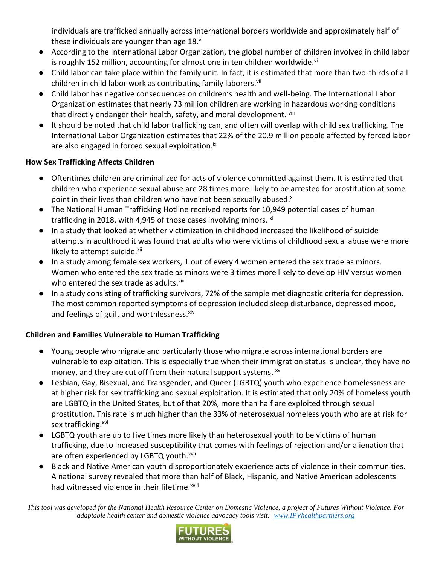individuals are trafficked annually across international borders worldwide and approximately half of these individuals are younger than age 18. $^{\text{v}}$ 

- According to the International Labor Organization, the global number of children involved in child labor is roughly 152 million, accounting for almost one in ten children worldwide.<sup>vi</sup>
- Child labor can take place within the family unit. In fact, it is estimated that more than two-thirds of all children in child labor work as contributing family laborers.<sup>vii</sup>
- Child labor has negative consequences on children's health and well-being. The International Labor Organization estimates that nearly 73 million children are working in hazardous working conditions that directly endanger their health, safety, and moral development. Viii
- It should be noted that child labor trafficking can, and often will overlap with child sex trafficking. The International Labor Organization estimates that 22% of the 20.9 million people affected by forced labor are also engaged in forced sexual exploitation.<sup>ix</sup>

# **How Sex Trafficking Affects Children**

- Oftentimes children are criminalized for acts of violence committed against them. It is estimated that children who experience sexual abuse are 28 times more likely to be arrested for prostitution at some point in their lives than children who have not been sexually abused.<sup>x</sup>
- The National Human Trafficking Hotline received reports for 10,949 potential cases of human trafficking in 2018, with 4,945 of those cases involving minors. xi
- In a study that looked at whether victimization in childhood increased the likelihood of suicide attempts in adulthood it was found that adults who were victims of childhood sexual abuse were more likely to attempt suicide.<sup>xii</sup>
- In a study among female sex workers, 1 out of every 4 women entered the sex trade as minors. Women who entered the sex trade as minors were 3 times more likely to develop HIV versus women who entered the sex trade as adults.<sup>xiii</sup>
- In a study consisting of trafficking survivors, 72% of the sample met diagnostic criteria for depression. The most common reported symptoms of depression included sleep disturbance, depressed mood, and feelings of guilt and worthlessness.<sup>xiv</sup>

# **Children and Families Vulnerable to Human Trafficking**

- Young people who migrate and particularly those who migrate across international borders are vulnerable to exploitation. This is especially true when their immigration status is unclear, they have no money, and they are cut off from their natural support systems. <sup>xv</sup>
- Lesbian, Gay, Bisexual, and Transgender, and Queer (LGBTQ) youth who experience homelessness are at higher risk for sex trafficking and sexual exploitation. It is estimated that only 20% of homeless youth are LGBTQ in the United States, but of that 20%, more than half are exploited through sexual prostitution. This rate is much higher than the 33% of heterosexual homeless youth who are at risk for sex trafficking.<sup>xvi</sup>
- LGBTQ youth are up to five times more likely than heterosexual youth to be victims of human trafficking, due to increased susceptibility that comes with feelings of rejection and/or alienation that are often experienced by LGBTQ youth.<sup>xvii</sup>
- Black and Native American youth disproportionately experience acts of violence in their communities. A national survey revealed that more than half of Black, Hispanic, and Native American adolescents had witnessed violence in their lifetime.<sup>xviii</sup>

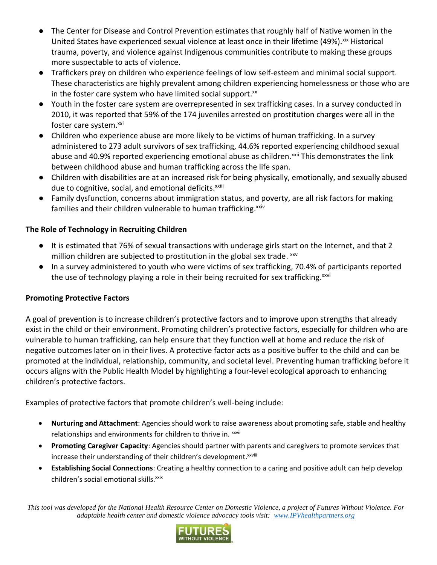- The Center for Disease and Control Prevention estimates that roughly half of Native women in the United States have experienced sexual violence at least once in their lifetime (49%). Xix Historical trauma, poverty, and violence against Indigenous communities contribute to making these groups more suspectable to acts of violence.
- Traffickers prey on children who experience feelings of low self-esteem and minimal social support. These characteristics are highly prevalent among children experiencing homelessness or those who are in the foster care system who have limited social support.<sup>xx</sup>
- Youth in the foster care system are overrepresented in sex trafficking cases. In a survey conducted in 2010, it was reported that 59% of the 174 juveniles arrested on prostitution charges were all in the foster care system.xxi
- Children who experience abuse are more likely to be victims of human trafficking. In a survey administered to 273 adult survivors of sex trafficking, 44.6% reported experiencing childhood sexual abuse and 40.9% reported experiencing emotional abuse as children.<sup>xxii</sup> This demonstrates the link between childhood abuse and human trafficking across the life span.
- Children with disabilities are at an increased risk for being physically, emotionally, and sexually abused due to cognitive, social, and emotional deficits.<sup>xxiii</sup>
- Family dysfunction, concerns about immigration status, and poverty, are all risk factors for making families and their children vulnerable to human trafficking.<sup>xxiv</sup>

# **The Role of Technology in Recruiting Children**

- It is estimated that 76% of sexual transactions with underage girls start on the Internet, and that 2 million children are subjected to prostitution in the global sex trade. <sup>xxv</sup>
- In a survey administered to youth who were victims of sex trafficking, 70.4% of participants reported the use of technology playing a role in their being recruited for sex trafficking.<sup>xxvi</sup>

# **Promoting Protective Factors**

A goal of prevention is to increase children's protective factors and to improve upon strengths that already exist in the child or their environment. Promoting children's protective factors, especially for children who are vulnerable to human trafficking, can help ensure that they function well at home and reduce the risk of negative outcomes later on in their lives. A protective factor acts as a positive buffer to the child and can be promoted at the individual, relationship, community, and societal level. Preventing human trafficking before it occurs aligns with the Public Health Model by highlighting a four-level ecological approach to enhancing children's protective factors.

Examples of protective factors that promote children's well-being include:

- **Nurturing and Attachment**: Agencies should work to raise awareness about promoting safe, stable and healthy relationships and environments for children to thrive in. xxvii
- **Promoting Caregiver Capacity**: Agencies should partner with parents and caregivers to promote services that increase their understanding of their children's development. XXVIII
- **Establishing Social Connections**: Creating a healthy connection to a caring and positive adult can help develop children's social emotional skills.<sup>xxix</sup>

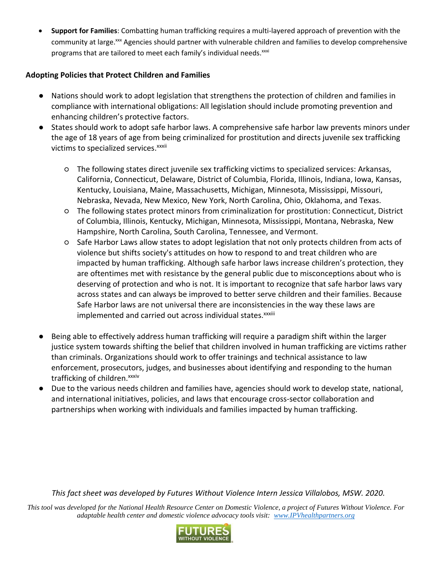**Support for Families**: Combatting human trafficking requires a multi-layered approach of prevention with the community at large.<sup>xxx</sup> Agencies should partner with vulnerable children and families to develop comprehensive programs that are tailored to meet each family's individual needs.xxxi

#### **Adopting Policies that Protect Children and Families**

- Nations should work to adopt legislation that strengthens the protection of children and families in compliance with international obligations: All legislation should include promoting prevention and enhancing children's protective factors.
- States should work to adopt safe harbor laws. A comprehensive safe harbor law prevents minors under the age of 18 years of age from being criminalized for prostitution and directs juvenile sex trafficking victims to specialized services.<sup>xxxii</sup>
	- The following states direct juvenile sex trafficking victims to specialized services: Arkansas, California, Connecticut, Delaware, District of Columbia, Florida, Illinois, Indiana, Iowa, Kansas, Kentucky, Louisiana, Maine, Massachusetts, Michigan, Minnesota, Mississippi, Missouri, Nebraska, Nevada, New Mexico, New York, North Carolina, Ohio, Oklahoma, and Texas.
	- The following states protect minors from criminalization for prostitution: Connecticut, District of Columbia, Illinois, Kentucky, Michigan, Minnesota, Mississippi, Montana, Nebraska, New Hampshire, North Carolina, South Carolina, Tennessee, and Vermont.
	- Safe Harbor Laws allow states to adopt legislation that not only protects children from acts of violence but shifts society's attitudes on how to respond to and treat children who are impacted by human trafficking. Although safe harbor laws increase children's protection, they are oftentimes met with resistance by the general public due to misconceptions about who is deserving of protection and who is not. It is important to recognize that safe harbor laws vary across states and can always be improved to better serve children and their families. Because Safe Harbor laws are not universal there are inconsistencies in the way these laws are implemented and carried out across individual states.<sup>xxxiii</sup>
- Being able to effectively address human trafficking will require a paradigm shift within the larger justice system towards shifting the belief that children involved in human trafficking are victims rather than criminals. Organizations should work to offer trainings and technical assistance to law enforcement, prosecutors, judges, and businesses about identifying and responding to the human trafficking of children.<sup>xxxiv</sup>
- Due to the various needs children and families have, agencies should work to develop state, national, and international initiatives, policies, and laws that encourage cross-sector collaboration and partnerships when working with individuals and families impacted by human trafficking.

*This fact sheet was developed by Futures Without Violence Intern Jessica Villalobos, MSW. 2020.*

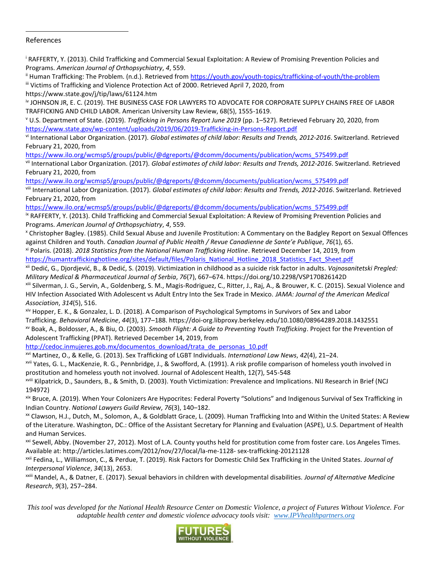#### References

 $\overline{a}$ 

<sup>i</sup> RAFFERTY, Y. (2013). Child Trafficking and Commercial Sexual Exploitation: A Review of Promising Prevention Policies and Programs. *American Journal of Orthopsychiatry*, *4*, 559.

<sup>ii</sup> Human Trafficking: The Problem. (n.d.). Retrieved from<https://youth.gov/youth-topics/trafficking-of-youth/the-problem> iii Victims of Trafficking and Violence Protection Act of 2000. Retrieved April 7, 2020, from

https://www.state.gov/j/tip/laws/61124.htm

iv JOHNSON JR, E. C. (2019). THE BUSINESS CASE FOR LAWYERS TO ADVOCATE FOR CORPORATE SUPPLY CHAINS FREE OF LABOR TRAFFICKING AND CHILD LABOR. American University Law Review, 68(5), 1555-1619.

<sup>v</sup> U.S. Department of State. (2019). *Trafficking in Persons Report June 2019* (pp. 1–527). Retrieved February 20, 2020, from <https://www.state.gov/wp-content/uploads/2019/06/2019-Trafficking-in-Persons-Report.pdf>

vi International Labor Organization. (2017). *Global estimates of child labor: Results and Trends, 2012-2016*. Switzerland. Retrieved February 21, 2020, from

[https://www.ilo.org/wcmsp5/groups/public/@dgreports/@dcomm/documents/publication/wcms\\_575499.pdf](https://www.ilo.org/wcmsp5/groups/public/@dgreports/@dcomm/documents/publication/wcms_575499.pdf)

vii International Labor Organization. (2017). *Global estimates of child labor: Results and Trends, 2012-2016*. Switzerland. Retrieved February 21, 2020, from

[https://www.ilo.org/wcmsp5/groups/public/@dgreports/@dcomm/documents/publication/wcms\\_575499.pdf](https://www.ilo.org/wcmsp5/groups/public/@dgreports/@dcomm/documents/publication/wcms_575499.pdf)

viii International Labor Organization. (2017). *Global estimates of child labor: Results and Trends, 2012-2016*. Switzerland. Retrieved February 21, 2020, from

[https://www.ilo.org/wcmsp5/groups/public/@dgreports/@dcomm/documents/publication/wcms\\_575499.pdf](https://www.ilo.org/wcmsp5/groups/public/@dgreports/@dcomm/documents/publication/wcms_575499.pdf)

<sup>ix</sup> RAFFERTY, Y. (2013). Child Trafficking and Commercial Sexual Exploitation: A Review of Promising Prevention Policies and Programs. *American Journal of Orthopsychiatry*, *4*, 559.

<sup>x</sup> Christopher Bagley. (1985). Child Sexual Abuse and Juvenile Prostitution: A Commentary on the Badgley Report on Sexual Offences against Children and Youth. *Canadian Journal of Public Health / Revue Canadienne de Sante'e Publique*, *76*(1), 65.

xi Polaris. (2018). *2018 Statistics from the National Human Trafficking Hotline*. Retrieved December 14, 2019, from [https://humantraffickinghotline.org/sites/default/files/Polaris\\_National\\_Hotline\\_2018\\_Statistics\\_Fact\\_Sheet.pdf](https://humantraffickinghotline.org/sites/default/files/Polaris_National_Hotline_2018_Statistics_Fact_Sheet.pdf)

xii Dedić, G., Djordjević, B., & Dedić, S. (2019). Victimization in childhood as a suicide risk factor in adults. *Vojnosanitetski Pregled: Military Medical & Pharmaceutical Journal of Serbia*, *76*(7), 667–674. https://doi.org/10.2298/VSP170826142D

xiii Silverman, J. G., Servin, A., Goldenberg, S. M., Magis-Rodriguez, C., Ritter, J., Raj, A., & Brouwer, K. C. (2015). Sexual Violence and HIV Infection Associated With Adolescent vs Adult Entry Into the Sex Trade in Mexico. *JAMA: Journal of the American Medical Association*, *314*(5), 516.

xiv Hopper, E. K., & Gonzalez, L. D. (2018). A Comparison of Psychological Symptoms in Survivors of Sex and Labor Trafficking. *Behavioral Medicine*, *44*(3), 177–188. https://doi-org.libproxy.berkeley.edu/10.1080/08964289.2018.1432551 xv Boak, A., Boldosser, A., & Biu, O. (2003). *Smooth Flight: A Guide to Preventing Youth Trafficking*. Project for the Prevention of

Adolescent Trafficking (PPAT). Retrieved December 14, 2019, from

[http://cedoc.inmujeres.gob.mx/documentos\\_download/trata\\_de\\_personas\\_10.pdf](http://cedoc.inmujeres.gob.mx/documentos_download/trata_de_personas_10.pdf)

xvi Martinez, O., & Kelle, G. (2013). Sex Trafficking of LGBT Individuals. *International Law News*, *42*(4), 21–24.

xvii Yates, G. L., MacKenzie, R. G., Pennbridge, J., & Swofford, A. (1991). A risk profile comparison of homeless youth involved in prostitution and homeless youth not involved. Journal of Adolescent Health, 12(7), 545-548

xviii Kilpatrick, D., Saunders, B., & Smith, D. (2003). Youth Victimization: Prevalence and Implications. NIJ Research in Brief (NCJ 194972)

xix Bruce, A. (2019). When Your Colonizers Are Hypocrites: Federal Poverty "Solutions" and Indigenous Survival of Sex Trafficking in Indian Country. *National Lawyers Guild Review*, *76*(3), 140–182.

xx Clawson, H.J., Dutch, M., Solomon, A., & Goldblatt Grace, L. (2009). Human Trafficking Into and Within the United States: A Review of the Literature. Washington, DC.: Office of the Assistant Secretary for Planning and Evaluation (ASPE), U.S. Department of Health and Human Services.

<sup>xxi</sup> Sewell, Abby. (November 27, 2012). Most of L.A. County youths held for prostitution come from foster care. Los Angeles Times. Available at: http://articles.latimes.com/2012/nov/27/local/la-me-1128- sex-trafficking-20121128

xxii Fedina, L., Williamson, C., & Perdue, T. (2019). Risk Factors for Domestic Child Sex Trafficking in the United States. *Journal of Interpersonal Violence*, *34*(13), 2653.

xxiii Mandel, A., & Datner, E. (2017). Sexual behaviors in children with developmental disabilities. *Journal of Alternative Medicine Research*, *9*(3), 257–284.